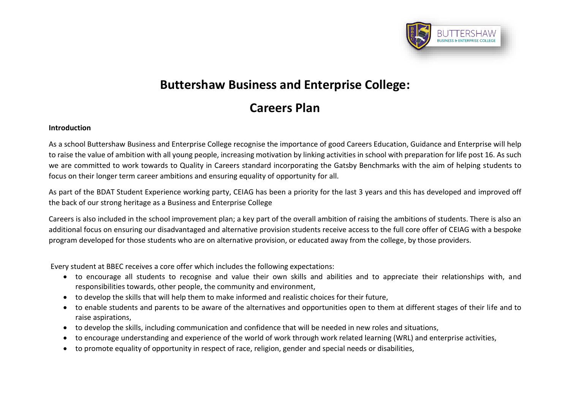

## **Buttershaw Business and Enterprise College:**

# **Careers Plan**

## **Introduction**

As a school Buttershaw Business and Enterprise College recognise the importance of good Careers Education, Guidance and Enterprise will help to raise the value of ambition with all young people, increasing motivation by linking activities in school with preparation for life post 16. As such we are committed to work towards to Quality in Careers standard incorporating the Gatsby Benchmarks with the aim of helping students to focus on their longer term career ambitions and ensuring equality of opportunity for all.

As part of the BDAT Student Experience working party, CEIAG has been a priority for the last 3 years and this has developed and improved off the back of our strong heritage as a Business and Enterprise College

Careers is also included in the school improvement plan; a key part of the overall ambition of raising the ambitions of students. There is also an additional focus on ensuring our disadvantaged and alternative provision students receive access to the full core offer of CEIAG with a bespoke program developed for those students who are on alternative provision, or educated away from the college, by those providers.

Every student at BBEC receives a core offer which includes the following expectations:

- to encourage all students to recognise and value their own skills and abilities and to appreciate their relationships with, and responsibilities towards, other people, the community and environment,
- to develop the skills that will help them to make informed and realistic choices for their future,
- to enable students and parents to be aware of the alternatives and opportunities open to them at different stages of their life and to raise aspirations,
- to develop the skills, including communication and confidence that will be needed in new roles and situations,
- to encourage understanding and experience of the world of work through work related learning (WRL) and enterprise activities,
- to promote equality of opportunity in respect of race, religion, gender and special needs or disabilities,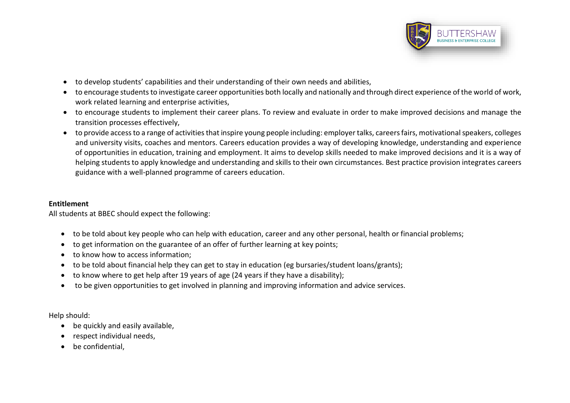

- to develop students' capabilities and their understanding of their own needs and abilities,
- to encourage students to investigate career opportunities both locally and nationally and through direct experience of the world of work, work related learning and enterprise activities,
- to encourage students to implement their career plans. To review and evaluate in order to make improved decisions and manage the transition processes effectively,
- to provide access to a range of activities that inspire young people including: employer talks, careers fairs, motivational speakers, colleges and university visits, coaches and mentors. Careers education provides a way of developing knowledge, understanding and experience of opportunities in education, training and employment. It aims to develop skills needed to make improved decisions and it is a way of helping students to apply knowledge and understanding and skills to their own circumstances. Best practice provision integrates careers guidance with a well-planned programme of careers education.

## **Entitlement**

All students at BBEC should expect the following:

- to be told about key people who can help with education, career and any other personal, health or financial problems;
- to get information on the guarantee of an offer of further learning at key points;
- to know how to access information:
- to be told about financial help they can get to stay in education (eg bursaries/student loans/grants);
- to know where to get help after 19 years of age (24 years if they have a disability);
- to be given opportunities to get involved in planning and improving information and advice services.

Help should:

- $\bullet$  be quickly and easily available,
- respect individual needs,
- be confidential.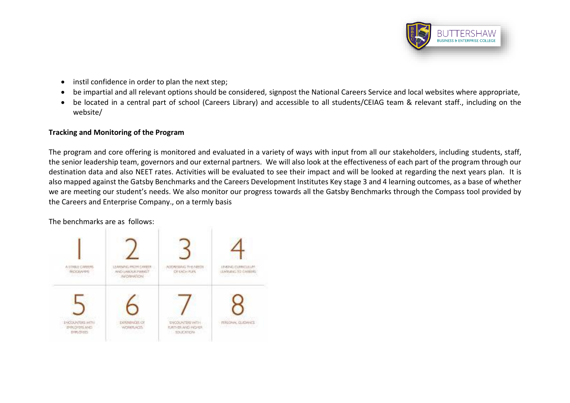

- instil confidence in order to plan the next step;
- be impartial and all relevant options should be considered, signpost the National Careers Service and local websites where appropriate,
- be located in a central part of school (Careers Library) and accessible to all students/CEIAG team & relevant staff., including on the website/

## **Tracking and Monitoring of the Program**

The program and core offering is monitored and evaluated in a variety of ways with input from all our stakeholders, including students, staff, the senior leadership team, governors and our external partners. We will also look at the effectiveness of each part of the program through our destination data and also NEET rates. Activities will be evaluated to see their impact and will be looked at regarding the next years plan. It is also mapped against the Gatsby Benchmarks and the Careers Development Institutes Key stage 3 and 4 learning outcomes, as a base of whether we are meeting our student's needs. We also monitor our progress towards all the Gatsby Benchmarks through the Compass tool provided by the Careers and Enterprise Company., on a termly basis

The benchmarks are as follows:

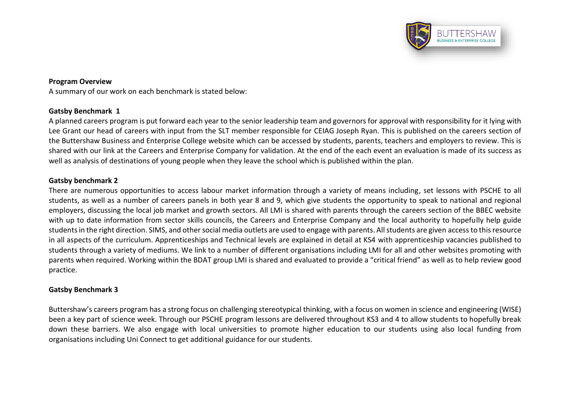

## **Program Overview**

A summary of our work on each benchmark is stated below:

## **Gatsby Benchmark 1**

A planned careers program is put forward each year to the senior leadership team and governors for approval with responsibility for it lying with Lee Grant our head of careers with input from the SLT member responsible for CEIAG Joseph Ryan. This is published on the careers section of the Buttershaw Business and Enterprise College website which can be accessed by students, parents, teachers and employers to review. This is shared with our link at the Careers and Enterprise Company for validation. At the end of the each event an evaluation is made of its success as well as analysis of destinations of young people when they leave the school which is published within the plan.

## **Gatsby benchmark 2**

There are numerous opportunities to access labour market information through a variety of means including, set lessons with PSCHE to all students, as well as a number of careers panels in both year 8 and 9, which give students the opportunity to speak to national and regional employers, discussing the local job market and growth sectors. All LMI is shared with parents through the careers section of the BBEC website with up to date information from sector skills councils, the Careers and Enterprise Company and the local authority to hopefully help guide students in the right direction. SIMS, and other social media outlets are used to engage with parents. All students are given access to this resource in all aspects of the curriculum. Apprenticeships and Technical levels are explained in detail at KS4 with apprenticeship vacancies published to students through a variety of mediums. We link to a number of different organisations including LMI for all and other websites promoting with parents when required. Working within the BDAT group LMI is shared and evaluated to provide a "critical friend" as well as to help review good practice.

## **Gatsby Benchmark 3**

Buttershaw's careers program has a strong focus on challenging stereotypical thinking, with a focus on women in science and engineering (WISE) been a key part of science week. Through our PSCHE program lessons are delivered throughout KS3 and 4 to allow students to hopefully break down these barriers. We also engage with local universities to promote higher education to our students using also local funding from organisations including Uni Connect to get additional guidance for our students.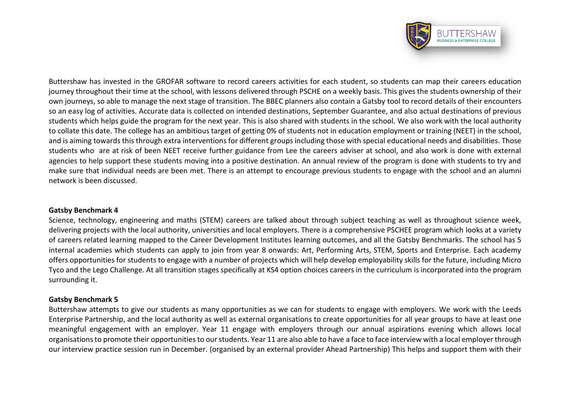

Buttershaw has invested in the GROFAR software to record careers activities for each student, so students can map their careers education journey throughout their time at the school, with lessons delivered through PSCHE on a weekly basis. This gives the students ownership of their own journeys, so able to manage the next stage of transition. The BBEC planners also contain a Gatsby tool to record details of their encounters so an easy log of activities. Accurate data is collected on intended destinations, September Guarantee, and also actual destinations of previous students which helps guide the program for the next year. This is also shared with students in the school. We also work with the local authority to collate this date. The college has an ambitious target of getting 0% of students not in education employment or training (NEET) in the school, and is aiming towards this through extra interventions for different groups including those with special educational needs and disabilities. Those students who are at risk of been NEET receive further guidance from Lee the careers adviser at school, and also work is done with external agencies to help support these students moving into a positive destination. An annual review of the program is done with students to try and make sure that individual needs are been met. There is an attempt to encourage previous students to engage with the school and an alumni network is been discussed.

#### **Gatsby Benchmark 4**

Science, technology, engineering and maths (STEM) careers are talked about through subject teaching as well as throughout science week, delivering projects with the local authority, universities and local employers. There is a comprehensive PSCHEE program which looks at a variety of careers related learning mapped to the Career Development Institutes learning outcomes, and all the Gatsby Benchmarks. The school has 5 internal academies which students can apply to join from year 8 onwards: Art, Performing Arts, STEM, Sports and Enterprise. Each academy offers opportunities for students to engage with a number of projects which will help develop employability skills for the future, including Micro Tyco and the Lego Challenge. At all transition stages specifically at KS4 option choices careers in the curriculum is incorporated into the program surrounding it.

#### **Gatsby Benchmark 5**

Buttershaw attempts to give our students as many opportunities as we can for students to engage with employers. We work with the Leeds Enterprise Partnership, and the local authority as well as external organisations to create opportunities for all year groups to have at least one meaningful engagement with an employer. Year 11 engage with employers through our annual aspirations evening which allows local organisations to promote their opportunities to our students. Year 11 are also able to have a face to face interview with a local employer through our interview practice session run in December. (organised by an external provider Ahead Partnership) This helps and support them with their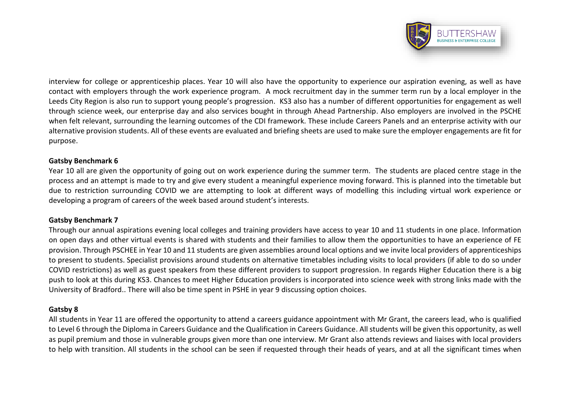

interview for college or apprenticeship places. Year 10 will also have the opportunity to experience our aspiration evening, as well as have contact with employers through the work experience program. A mock recruitment day in the summer term run by a local employer in the Leeds City Region is also run to support young people's progression. KS3 also has a number of different opportunities for engagement as well through science week, our enterprise day and also services bought in through Ahead Partnership. Also employers are involved in the PSCHE when felt relevant, surrounding the learning outcomes of the CDI framework. These include Careers Panels and an enterprise activity with our alternative provision students. All of these events are evaluated and briefing sheets are used to make sure the employer engagements are fit for purpose.

## **Gatsby Benchmark 6**

Year 10 all are given the opportunity of going out on work experience during the summer term. The students are placed centre stage in the process and an attempt is made to try and give every student a meaningful experience moving forward. This is planned into the timetable but due to restriction surrounding COVID we are attempting to look at different ways of modelling this including virtual work experience or developing a program of careers of the week based around student's interests.

#### **Gatsby Benchmark 7**

Through our annual aspirations evening local colleges and training providers have access to year 10 and 11 students in one place. Information on open days and other virtual events is shared with students and their families to allow them the opportunities to have an experience of FE provision. Through PSCHEE in Year 10 and 11 students are given assemblies around local options and we invite local providers of apprenticeships to present to students. Specialist provisions around students on alternative timetables including visits to local providers (if able to do so under COVID restrictions) as well as guest speakers from these different providers to support progression. In regards Higher Education there is a big push to look at this during KS3. Chances to meet Higher Education providers is incorporated into science week with strong links made with the University of Bradford.. There will also be time spent in PSHE in year 9 discussing option choices.

#### **Gatsby 8**

All students in Year 11 are offered the opportunity to attend a careers guidance appointment with Mr Grant, the careers lead, who is qualified to Level 6 through the Diploma in Careers Guidance and the Qualification in Careers Guidance. All students will be given this opportunity, as well as pupil premium and those in vulnerable groups given more than one interview. Mr Grant also attends reviews and liaises with local providers to help with transition. All students in the school can be seen if requested through their heads of years, and at all the significant times when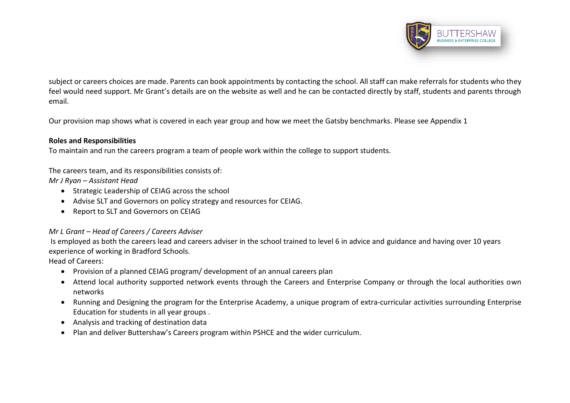

subject or careers choices are made. Parents can book appointments by contacting the school. All staff can make referrals for students who they feel would need support. Mr Grant's details are on the website as well and he can be contacted directly by staff, students and parents through email.

Our provision map shows what is covered in each year group and how we meet the Gatsby benchmarks. Please see Appendix 1

## **Roles and Responsibilities**

To maintain and run the careers program a team of people work within the college to support students.

The careers team, and its responsibilities consists of:

*Mr J Ryan – Assistant Head*

- Strategic Leadership of CEIAG across the school
- Advise SLT and Governors on policy strategy and resources for CEIAG.
- Report to SLT and Governors on CEIAG

## *Mr L Grant – Head of Careers / Careers Adviser*

Is employed as both the careers lead and careers adviser in the school trained to level 6 in advice and guidance and having over 10 years experience of working in Bradford Schools.

Head of Careers:

- Provision of a planned CEIAG program/ development of an annual careers plan
- Attend local authority supported network events through the Careers and Enterprise Company or through the local authorities own networks
- Running and Designing the program for the Enterprise Academy, a unique program of extra-curricular activities surrounding Enterprise Education for students in all year groups .
- Analysis and tracking of destination data
- Plan and deliver Buttershaw's Careers program within PSHCE and the wider curriculum.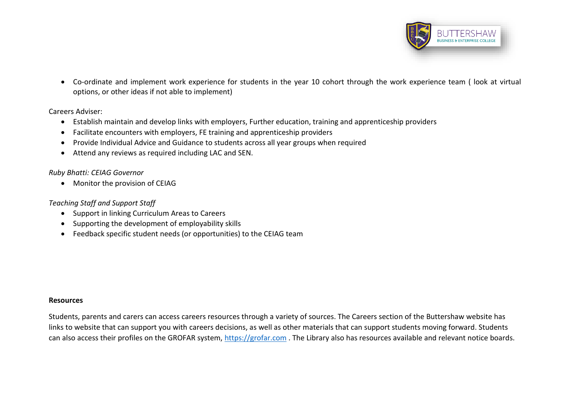

 Co-ordinate and implement work experience for students in the year 10 cohort through the work experience team ( look at virtual options, or other ideas if not able to implement)

#### Careers Adviser:

- Establish maintain and develop links with employers, Further education, training and apprenticeship providers
- Facilitate encounters with employers, FE training and apprenticeship providers
- Provide Individual Advice and Guidance to students across all year groups when required
- Attend any reviews as required including LAC and SEN.

## *Ruby Bhatti: CEIAG Governor*

• Monitor the provision of CEIAG

## *Teaching Staff and Support Staff*

- Support in linking Curriculum Areas to Careers
- Supporting the development of employability skills
- Feedback specific student needs (or opportunities) to the CEIAG team

#### **Resources**

Students, parents and carers can access careers resources through a variety of sources. The Careers section of the Buttershaw website has links to website that can support you with careers decisions, as well as other materials that can support students moving forward. Students can also access their profiles on the GROFAR system, [https://grofar.com](https://grofar.com/) . The Library also has resources available and relevant notice boards.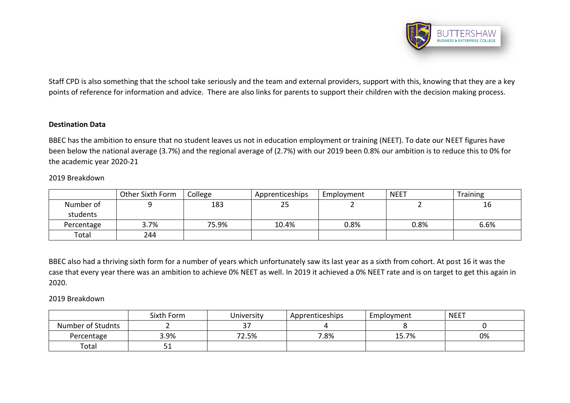

Staff CPD is also something that the school take seriously and the team and external providers, support with this, knowing that they are a key points of reference for information and advice. There are also links for parents to support their children with the decision making process.

#### **Destination Data**

BBEC has the ambition to ensure that no student leaves us not in education employment or training (NEET). To date our NEET figures have been below the national average (3.7%) and the regional average of (2.7%) with our 2019 been 0.8% our ambition is to reduce this to 0% for the academic year 2020-21

#### 2019 Breakdown

|            | Other Sixth Form | College | Apprenticeships | Employment | <b>NEET</b> | <b>Training</b> |  |
|------------|------------------|---------|-----------------|------------|-------------|-----------------|--|
| Number of  |                  | 183     | 25              |            |             | 16              |  |
| students   |                  |         |                 |            |             |                 |  |
| Percentage | 3.7%             | 75.9%   | 10.4%           | 0.8%       | 0.8%        | 6.6%            |  |
| Total      | 244              |         |                 |            |             |                 |  |

BBEC also had a thriving sixth form for a number of years which unfortunately saw its last year as a sixth from cohort. At post 16 it was the case that every year there was an ambition to achieve 0% NEET as well. In 2019 it achieved a 0% NEET rate and is on target to get this again in 2020.

## 2019 Breakdown

|                   | Sixth Form | University                           | Apprenticeships | Employment | <b>NEET</b> |
|-------------------|------------|--------------------------------------|-----------------|------------|-------------|
| Number of Studnts |            | $\sim$<br>$\overline{\phantom{a}}$ . |                 |            |             |
| Percentage        | 3.9%       | '2.5%<br>$72^{\circ}$                | 7.8%            | 15.7%      | 0%          |
| Total             | 51         |                                      |                 |            |             |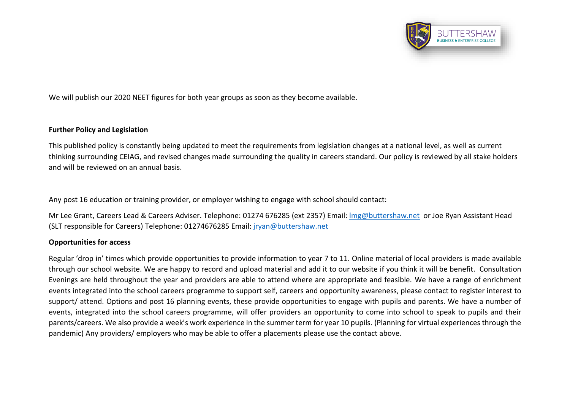

We will publish our 2020 NEET figures for both year groups as soon as they become available.

## **Further Policy and Legislation**

This published policy is constantly being updated to meet the requirements from legislation changes at a national level, as well as current thinking surrounding CEIAG, and revised changes made surrounding the quality in careers standard. Our policy is reviewed by all stake holders and will be reviewed on an annual basis.

Any post 16 education or training provider, or employer wishing to engage with school should contact:

Mr Lee Grant, Careers Lead & Careers Adviser. Telephone: 01274 676285 (ext 2357) Email: [lmg@buttershaw.net](mailto:lmg@buttershaw.net) or Joe Ryan Assistant Head (SLT responsible for Careers) Telephone: 01274676285 Email: [jryan@buttershaw.net](mailto:jryan@buttershaw.net)

## **Opportunities for access**

Regular 'drop in' times which provide opportunities to provide information to year 7 to 11. Online material of local providers is made available through our school website. We are happy to record and upload material and add it to our website if you think it will be benefit. Consultation Evenings are held throughout the year and providers are able to attend where are appropriate and feasible. We have a range of enrichment events integrated into the school careers programme to support self, careers and opportunity awareness, please contact to register interest to support/ attend. Options and post 16 planning events, these provide opportunities to engage with pupils and parents. We have a number of events, integrated into the school careers programme, will offer providers an opportunity to come into school to speak to pupils and their parents/careers. We also provide a week's work experience in the summer term for year 10 pupils. (Planning for virtual experiences through the pandemic) Any providers/ employers who may be able to offer a placements please use the contact above.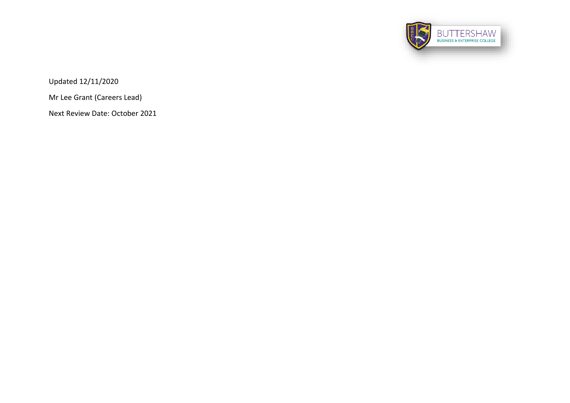

Updated 12/11/2020

Mr Lee Grant (Careers Lead)

Next Review Date: October 2021